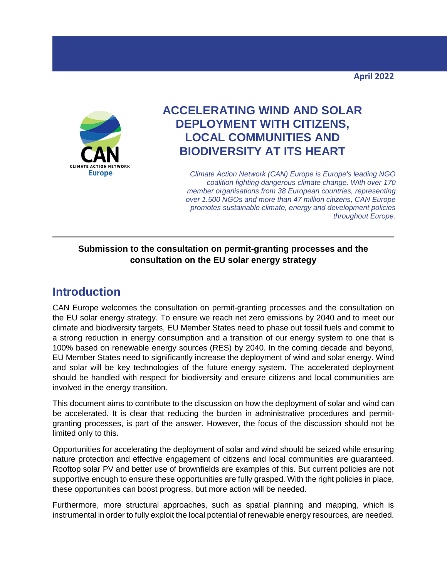

# **ACCELERATING WIND AND SOLAR DEPLOYMENT WITH CITIZENS, LOCAL COMMUNITIES AND BIODIVERSITY AT ITS HEART**

*Climate Action Network (CAN) Europe is Europe's leading NGO coalition fighting dangerous climate change. With over 170 member organisations from 38 European countries, representing over 1.500 NGOs and more than 47 million citizens, CAN Europe promotes sustainable climate, energy and development policies throughout Europe.*

#### **Submission to the consultation on permit-granting processes and the consultation on the EU solar energy strategy**

## **Introduction**

CAN Europe welcomes the consultation on permit-granting processes and the consultation on the EU solar energy strategy. To ensure we reach net zero emissions by 2040 and to meet our climate and biodiversity targets, EU Member States need to phase out fossil fuels and commit to a strong reduction in energy consumption and a transition of our energy system to one that is 100% based on renewable energy sources (RES) by 2040. In the coming decade and beyond, EU Member States need to significantly increase the deployment of wind and solar energy. Wind and solar will be key technologies of the future energy system. The accelerated deployment should be handled with respect for biodiversity and ensure citizens and local communities are involved in the energy transition.

This document aims to contribute to the discussion on how the deployment of solar and wind can be accelerated. It is clear that reducing the burden in administrative procedures and permitgranting processes, is part of the answer. However, the focus of the discussion should not be limited only to this.

Opportunities for accelerating the deployment of solar and wind should be seized while ensuring nature protection and effective engagement of citizens and local communities are guaranteed. Rooftop solar PV and better use of brownfields are examples of this. But current policies are not supportive enough to ensure these opportunities are fully grasped. With the right policies in place, these opportunities can boost progress, but more action will be needed.

Furthermore, more structural approaches, such as spatial planning and mapping, which is instrumental in order to fully exploit the local potential of renewable energy resources, are needed.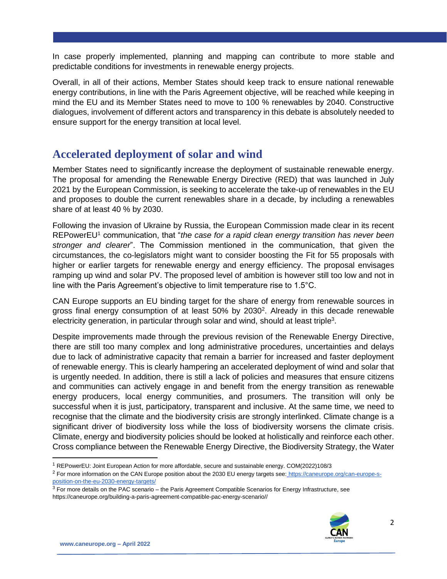In case properly implemented, planning and mapping can contribute to more stable and predictable conditions for investments in renewable energy projects.

Overall, in all of their actions, Member States should keep track to ensure national renewable energy contributions, in line with the Paris Agreement objective, will be reached while keeping in mind the EU and its Member States need to move to 100 % renewables by 2040. Constructive dialogues, involvement of different actors and transparency in this debate is absolutely needed to ensure support for the energy transition at local level.

### **Accelerated deployment of solar and wind**

Member States need to significantly increase the deployment of sustainable renewable energy. The proposal for amending the Renewable Energy Directive (RED) that was launched in July 2021 by the European Commission, is seeking to accelerate the take-up of renewables in the EU and proposes to double the current renewables share in a decade, by including a renewables share of at least 40 % by 2030.

Following the invasion of Ukraine by Russia, the European Commission made clear in its recent REPowerEU<sup>1</sup> communication, that "*the case for a rapid clean energy transition has never been stronger and clearer*". The Commission mentioned in the communication, that given the circumstances, the co-legislators might want to consider boosting the Fit for 55 proposals with higher or earlier targets for renewable energy and energy efficiency. The proposal envisages ramping up wind and solar PV. The proposed level of ambition is however still too low and not in line with the Paris Agreement's objective to limit temperature rise to 1.5°C.

CAN Europe supports an EU binding target for the share of energy from renewable sources in gross final energy consumption of at least 50% by 2030<sup>2</sup>. Already in this decade renewable electricity generation, in particular through solar and wind, should at least triple<sup>3</sup>.

Despite improvements made through the previous revision of the Renewable Energy Directive, there are still too many complex and long administrative procedures, uncertainties and delays due to lack of administrative capacity that remain a barrier for increased and faster deployment of renewable energy. This is clearly hampering an accelerated deployment of wind and solar that is urgently needed. In addition, there is still a lack of policies and measures that ensure citizens and communities can actively engage in and benefit from the energy transition as renewable energy producers, local energy communities, and prosumers. The transition will only be successful when it is just, participatory, transparent and inclusive. At the same time, we need to recognise that the climate and the biodiversity crisis are strongly interlinked. Climate change is a significant driver of biodiversity loss while the loss of biodiversity worsens the climate crisis. Climate, energy and biodiversity policies should be looked at holistically and reinforce each other. Cross compliance between the Renewable Energy Directive, the Biodiversity Strategy, the Water

<sup>&</sup>lt;sup>3</sup> For more details on the PAC scenario – the Paris Agreement Compatible Scenarios for Energy Infrastructure, see https://caneurope.org/building-a-paris-agreement-compatible-pac-energy-scenario//



 $\overline{\phantom{a}}$ 

<sup>1</sup> REPowerEU: Joint European Action for more affordable, secure and sustainable energy. COM(2022)108/3

<sup>&</sup>lt;sup>2</sup> For more information on the CAN Europe position about the 2030 EU energy targets see[:](https://caneurope.org/can-europe-s-position-on-the-eu-2030-energy-targets/) [https://caneurope.org/can-europe-s](https://caneurope.org/can-europe-s-position-on-the-eu-2030-energy-targets/)[position-on-the-eu-2030-energy-targets/](https://caneurope.org/can-europe-s-position-on-the-eu-2030-energy-targets/)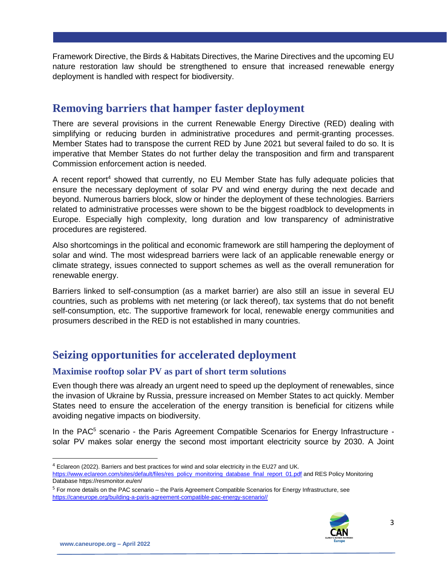Framework Directive, the Birds & Habitats Directives, the Marine Directives and the upcoming EU nature restoration law should be strengthened to ensure that increased renewable energy deployment is handled with respect for biodiversity.

### **Removing barriers that hamper faster deployment**

There are several provisions in the current Renewable Energy Directive (RED) dealing with simplifying or reducing burden in administrative procedures and permit-granting processes. Member States had to transpose the current RED by June 2021 but several failed to do so. It is imperative that Member States do not further delay the transposition and firm and transparent Commission enforcement action is needed.

A recent report<sup>4</sup> showed that currently, no EU Member State has fully adequate policies that ensure the necessary deployment of solar PV and wind energy during the next decade and beyond. Numerous barriers block, slow or hinder the deployment of these technologies. Barriers related to administrative processes were shown to be the biggest roadblock to developments in Europe. Especially high complexity, long duration and low transparency of administrative procedures are registered.

Also shortcomings in the political and economic framework are still hampering the deployment of solar and wind. The most widespread barriers were lack of an applicable renewable energy or climate strategy, issues connected to support schemes as well as the overall remuneration for renewable energy.

Barriers linked to self-consumption (as a market barrier) are also still an issue in several EU countries, such as problems with net metering (or lack thereof), tax systems that do not benefit self-consumption, etc. The supportive framework for local, renewable energy communities and prosumers described in the RED is not established in many countries.

## **Seizing opportunities for accelerated deployment**

#### **Maximise rooftop solar PV as part of short term solutions**

Even though there was already an urgent need to speed up the deployment of renewables, since the invasion of Ukraine by Russia, pressure increased on Member States to act quickly. Member States need to ensure the acceleration of the energy transition is beneficial for citizens while avoiding negative impacts on biodiversity.

In the PAC<sup>5</sup> scenario - the Paris Agreement Compatible Scenarios for Energy Infrastructure solar PV makes solar energy the second most important electricity source by 2030. A Joint

<sup>5</sup> For more details on the PAC scenario – the Paris Agreement Compatible Scenarios for Energy Infrastructure, see [https://caneurope.org/building-a-paris-agreement-compatible-pac-energy-scenario//](https://caneurope.org/building-a-paris-agreement-compatible-pac-energy-scenario/)



 $\overline{a}$ 

<sup>4</sup> Eclareon (2022). Barriers and best practices for wind and solar electricity in the EU27 and UK. [https://www.eclareon.com/sites/default/files/res\\_policy\\_monitoring\\_database\\_final\\_report\\_01.pdf](https://www.eclareon.com/sites/default/files/res_policy_monitoring_database_final_report_01.pdf) and RES Policy Monitoring Databas[e https://resmonitor.eu/en/](https://resmonitor.eu/en/)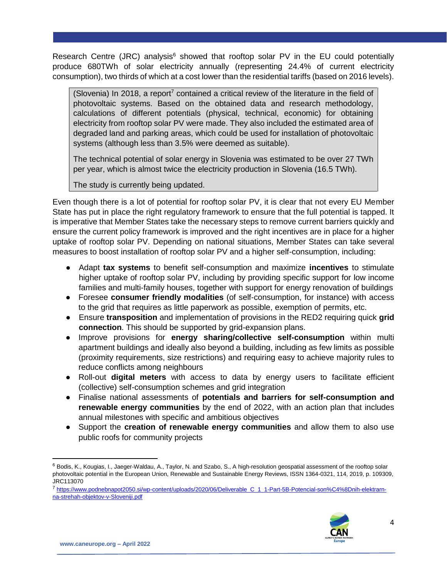Research Centre (JRC) analysis<sup>6</sup> showed that rooftop solar PV in the EU could potentially produce 680TWh of solar electricity annually (representing 24.4% of current electricity consumption), two thirds of which at a cost lower than the residential tariffs (based on 2016 levels).

(Slovenia) In 2018, a report<sup>7</sup> contained a critical review of the literature in the field of photovoltaic systems. Based on the obtained data and research methodology, calculations of different potentials (physical, technical, economic) for obtaining electricity from rooftop solar PV were made. They also included the estimated area of degraded land and parking areas, which could be used for installation of photovoltaic systems (although less than 3.5% were deemed as suitable).

The technical potential of solar energy in Slovenia was estimated to be over 27 TWh per year, which is almost twice the electricity production in Slovenia (16.5 TWh).

The study is currently being updated.

Even though there is a lot of potential for rooftop solar PV, it is clear that not every EU Member State has put in place the right regulatory framework to ensure that the full potential is tapped. It is imperative that Member States take the necessary steps to remove current barriers quickly and ensure the current policy framework is improved and the right incentives are in place for a higher uptake of rooftop solar PV. Depending on national situations, Member States can take several measures to boost installation of rooftop solar PV and a higher self-consumption, including:

- Adapt **tax systems** to benefit self-consumption and maximize **incentives** to stimulate higher uptake of rooftop solar PV, including by providing specific support for low income families and multi-family houses, together with support for energy renovation of buildings
- Foresee **consumer friendly modalities** (of self-consumption, for instance) with access to the grid that requires as little paperwork as possible, exemption of permits, etc.
- Ensure **transposition** and implementation of provisions in the RED2 requiring quick **grid connection**. This should be supported by grid-expansion plans.
- Improve provisions for **energy sharing/collective self-consumption** within multi apartment buildings and ideally also beyond a building, including as few limits as possible (proximity requirements, size restrictions) and requiring easy to achieve majority rules to reduce conflicts among neighbours
- Roll-out **digital meters** with access to data by energy users to facilitate efficient (collective) self-consumption schemes and grid integration
- Finalise national assessments of **potentials and barriers for self-consumption and renewable energy communities** by the end of 2022, with an action plan that includes annual milestones with specific and ambitious objectives
- Support the **creation of renewable energy communities** and allow them to also use public roofs for community projects

<sup>7</sup> [https://www.podnebnapot2050.si/wp-content/uploads/2020/06/Deliverable\\_C\\_1\\_1-Part-5B-Potencial-son%C4%8Dnih-elektrarn](https://www.podnebnapot2050.si/wp-content/uploads/2020/06/Deliverable_C_1_1-Part-5B-Potencial-son%C4%8Dnih-elektrarn-na-strehah-objektov-v-Sloveniji.pdf)[na-strehah-objektov-v-Sloveniji.pdf](https://www.podnebnapot2050.si/wp-content/uploads/2020/06/Deliverable_C_1_1-Part-5B-Potencial-son%C4%8Dnih-elektrarn-na-strehah-objektov-v-Sloveniji.pdf)



 $\overline{\phantom{a}}$ 

<sup>6</sup> Bodis, K., Kougias, I., Jaeger-Waldau, A., Taylor, N. and Szabo, S., A high-resolution geospatial assessment of the rooftop solar photovoltaic potential in the European Union, Renewable and Sustainable Energy Reviews, ISSN 1364-0321, 114, 2019, p. 109309, JRC113070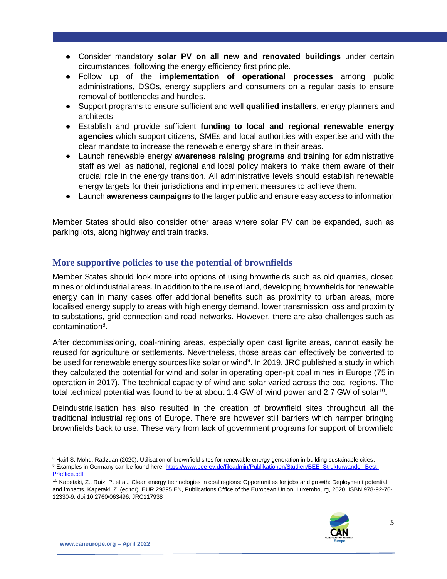- Consider mandatory **solar PV on all new and renovated buildings** under certain circumstances, following the energy efficiency first principle.
- Follow up of the **implementation of operational processes** among public administrations, DSOs, energy suppliers and consumers on a regular basis to ensure removal of bottlenecks and hurdles.
- Support programs to ensure sufficient and well **qualified installers**, energy planners and architects
- Establish and provide sufficient **funding to local and regional renewable energy agencies** which support citizens, SMEs and local authorities with expertise and with the clear mandate to increase the renewable energy share in their areas.
- Launch renewable energy **awareness raising programs** and training for administrative staff as well as national, regional and local policy makers to make them aware of their crucial role in the energy transition. All administrative levels should establish renewable energy targets for their jurisdictions and implement measures to achieve them.
- Launch **awareness campaigns** to the larger public and ensure easy access to information

Member States should also consider other areas where solar PV can be expanded, such as parking lots, along highway and train tracks.

#### **More supportive policies to use the potential of brownfields**

Member States should look more into options of using brownfields such as old quarries, closed mines or old industrial areas. In addition to the reuse of land, developing brownfields for renewable energy can in many cases offer additional benefits such as proximity to urban areas, more localised energy supply to areas with high energy demand, lower transmission loss and proximity to substations, grid connection and road networks. However, there are also challenges such as contamination<sup>8</sup>.

After decommissioning, coal-mining areas, especially open cast lignite areas, cannot easily be reused for agriculture or settlements. Nevertheless, those areas can effectively be converted to be used for renewable energy sources like solar or wind<sup>9</sup>. In 2019, JRC published a study in which they calculated the potential for wind and solar in operating open-pit coal mines in Europe (75 in operation in 2017). The technical capacity of wind and solar varied across the coal regions. The total technical potential was found to be at about 1.4 GW of wind power and 2.7 GW of solar<sup>10</sup>.

Deindustrialisation has also resulted in the creation of brownfield sites throughout all the traditional industrial regions of Europe. There are however still barriers which hamper bringing brownfields back to use. These vary from lack of government programs for support of brownfield

<sup>&</sup>lt;sup>10</sup> Kapetaki, Z., Ruiz, P. et al., Clean energy technologies in coal regions: Opportunities for jobs and growth: Deployment potential and impacts, Kapetaki, Z. (editor), EUR 29895 EN, Publications Office of the European Union, Luxembourg, 2020, ISBN 978-92-76- 12330-9, doi:10.2760/063496, JRC117938



 $\overline{\phantom{a}}$ <sup>8</sup> Hairl S. Mohd. Radzuan (2020). Utilisation of brownfield sites for renewable energy generation in building sustainable cities.

<sup>9</sup> Examples in Germany can be found here: [https://www.bee-ev.de/fileadmin/Publikationen/Studien/BEE\\_Strukturwandel\\_Best-](https://www.bee-ev.de/fileadmin/Publikationen/Studien/BEE_Strukturwandel_Best-Practice.pdf)[Practice.pdf](https://www.bee-ev.de/fileadmin/Publikationen/Studien/BEE_Strukturwandel_Best-Practice.pdf)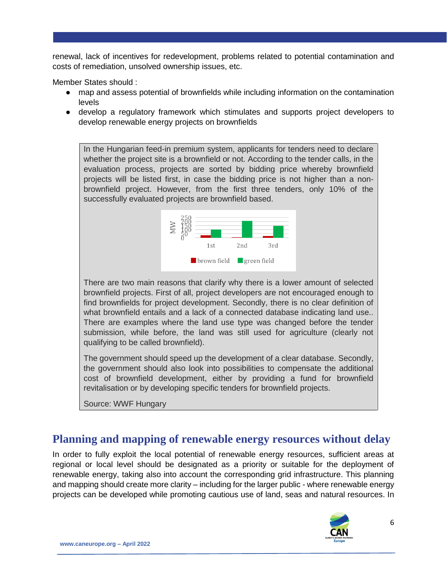renewal, lack of incentives for redevelopment, problems related to potential contamination and costs of remediation, unsolved ownership issues, etc.

Member States should :

- map and assess potential of brownfields while including information on the contamination levels
- develop a regulatory framework which stimulates and supports project developers to develop renewable energy projects on brownfields

In the Hungarian feed-in premium system, applicants for tenders need to declare whether the project site is a brownfield or not. According to the tender calls, in the evaluation process, projects are sorted by bidding price whereby brownfield projects will be listed first, in case the bidding price is not higher than a nonbrownfield project. However, from the first three tenders, only 10% of the successfully evaluated projects are brownfield based.



There are two main reasons that clarify why there is a lower amount of selected brownfield projects. First of all, project developers are not encouraged enough to find brownfields for project development. Secondly, there is no clear definition of what brownfield entails and a lack of a connected database indicating land use.. There are examples where the land use type was changed before the tender submission, while before, the land was still used for agriculture (clearly not qualifying to be called brownfield).

The government should speed up the development of a clear database. Secondly, the government should also look into possibilities to compensate the additional cost of brownfield development, either by providing a fund for brownfield revitalisation or by developing specific tenders for brownfield projects.

Source: WWF Hungary

### **Planning and mapping of renewable energy resources without delay**

In order to fully exploit the local potential of renewable energy resources, sufficient areas at regional or local level should be designated as a priority or suitable for the deployment of renewable energy, taking also into account the corresponding grid infrastructure. This planning and mapping should create more clarity – including for the larger public - where renewable energy projects can be developed while promoting cautious use of land, seas and natural resources. In

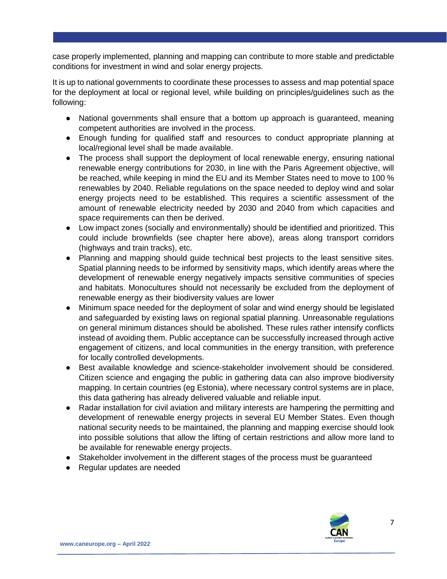case properly implemented, planning and mapping can contribute to more stable and predictable conditions for investment in wind and solar energy projects.

It is up to national governments to coordinate these processes to assess and map potential space for the deployment at local or regional level, while building on principles/guidelines such as the following:

- National governments shall ensure that a bottom up approach is guaranteed, meaning competent authorities are involved in the process.
- Enough funding for qualified staff and resources to conduct appropriate planning at local/regional level shall be made available.
- The process shall support the deployment of local renewable energy, ensuring national renewable energy contributions for 2030, in line with the Paris Agreement objective, will be reached, while keeping in mind the EU and its Member States need to move to 100 % renewables by 2040. Reliable regulations on the space needed to deploy wind and solar energy projects need to be established. This requires a scientific assessment of the amount of renewable electricity needed by 2030 and 2040 from which capacities and space requirements can then be derived.
- Low impact zones (socially and environmentally) should be identified and prioritized. This could include brownfields (see chapter here above), areas along transport corridors (highways and train tracks), etc.
- Planning and mapping should guide technical best projects to the least sensitive sites. Spatial planning needs to be informed by sensitivity maps, which identify areas where the development of renewable energy negatively impacts sensitive communities of species and habitats. Monocultures should not necessarily be excluded from the deployment of renewable energy as their biodiversity values are lower
- Minimum space needed for the deployment of solar and wind energy should be legislated and safeguarded by existing laws on regional spatial planning. Unreasonable regulations on general minimum distances should be abolished. These rules rather intensify conflicts instead of avoiding them. Public acceptance can be successfully increased through active engagement of citizens, and local communities in the energy transition, with preference for locally controlled developments.
- Best available knowledge and science-stakeholder involvement should be considered. Citizen science and engaging the public in gathering data can also improve biodiversity mapping. In certain countries (eg Estonia), where necessary control systems are in place, this data gathering has already delivered valuable and reliable input.
- Radar installation for civil aviation and military interests are hampering the permitting and development of renewable energy projects in several EU Member States. Even though national security needs to be maintained, the planning and mapping exercise should look into possible solutions that allow the lifting of certain restrictions and allow more land to be available for renewable energy projects.
- Stakeholder involvement in the different stages of the process must be guaranteed
- Regular updates are needed

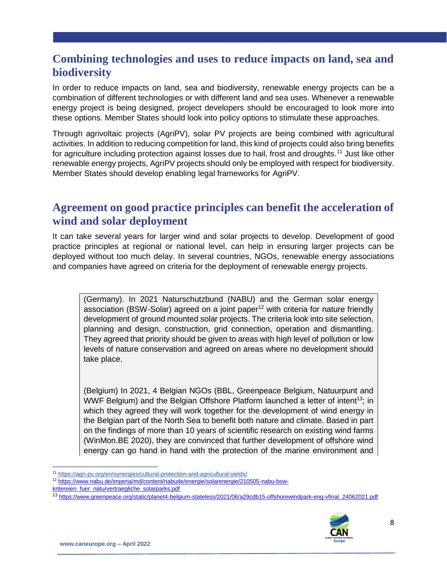## **Combining technologies and uses to reduce impacts on land, sea and biodiversity**

In order to reduce impacts on land, sea and biodiversity, renewable energy projects can be a combination of different technologies or with different land and sea uses. Whenever a renewable energy project is being designed, project developers should be encouraged to look more into these options. Member States should look into policy options to stimulate these approaches.

Through agrivoltaic projects (AgriPV), solar PV projects are being combined with agricultural activities. In addition to reducing competition for land, this kind of projects could also bring benefits for agriculture including protection against losses due to hail, frost and droughts.<sup>11</sup> Just like other renewable energy projects, AgriPV projects should only be employed with respect for biodiversity. Member States should develop enabling legal frameworks for AgriPV.

### **Agreement on good practice principles can benefit the acceleration of wind and solar deployment**

It can take several years for larger wind and solar projects to develop. Development of good practice principles at regional or national level, can help in ensuring larger projects can be deployed without too much delay. In several countries, NGOs, renewable energy associations and companies have agreed on criteria for the deployment of renewable energy projects.

(Germany). In 2021 Naturschutzbund (NABU) and the German solar energy association (BSW-Solar) agreed on a joint paper<sup>12</sup> with criteria for nature friendly development of ground mounted solar projects. The criteria look into site selection, planning and design, construction, grid connection, operation and dismantling. They agreed that priority should be given to areas with high level of pollution or low levels of nature conservation and agreed on areas where no development should take place.

(Belgium) In 2021, 4 Belgian NGOs (BBL, Greenpeace Belgium, Natuurpunt and WWF Belgium) and the Belgian Offshore Platform launched a letter of intent<sup>13</sup>; in which they agreed they will work together for the development of wind energy in the Belgian part of the North Sea to benefit both nature and climate. Based in part on the findings of more than 10 years of scientific research on existing wind farms (WinMon.BE 2020), they are convinced that further development of offshore wind energy can go hand in hand with the protection of the marine environment and

[kritereien\\_fuer\\_naturvertraegliche\\_solarparks.pdf](https://www.nabu.de/imperia/md/content/nabude/energie/solarenergie/210505-nabu-bsw-kritereien_fuer_naturvertraegliche_solarparks.pdf)

<sup>13</sup> [https://www.greenpeace.org/static/planet4-belgium-stateless/2021/06/a29cdb15-offshorewindpark-eng-vfinal\\_24062021.pdf](https://www.greenpeace.org/static/planet4-belgium-stateless/2021/06/a29cdb15-offshorewindpark-eng-vfinal_24062021.pdf)



l <sup>11</sup> <https://agri-pv.org/en/synergies/cultural-protection-and-agricultural-yields/>

<sup>12</sup> [https://www.nabu.de/imperia/md/content/nabude/energie/solarenergie/210505-nabu-bsw-](https://www.nabu.de/imperia/md/content/nabude/energie/solarenergie/210505-nabu-bsw-kritereien_fuer_naturvertraegliche_solarparks.pdf)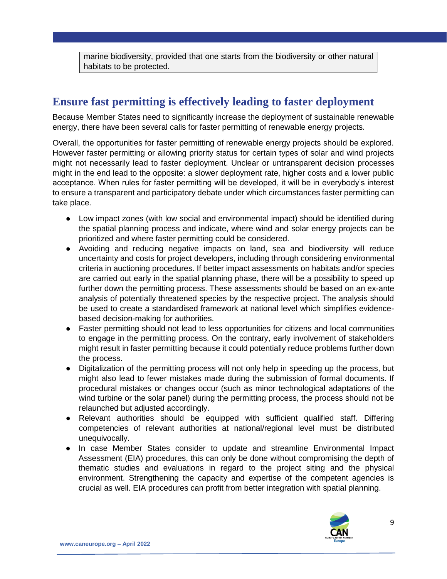marine biodiversity, provided that one starts from the biodiversity or other natural habitats to be protected.

# **Ensure fast permitting is effectively leading to faster deployment**

Because Member States need to significantly increase the deployment of sustainable renewable energy, there have been several calls for faster permitting of renewable energy projects.

Overall, the opportunities for faster permitting of renewable energy projects should be explored. However faster permitting or allowing priority status for certain types of solar and wind projects might not necessarily lead to faster deployment. Unclear or untransparent decision processes might in the end lead to the opposite: a slower deployment rate, higher costs and a lower public acceptance. When rules for faster permitting will be developed, it will be in everybody's interest to ensure a transparent and participatory debate under which circumstances faster permitting can take place.

- Low impact zones (with low social and environmental impact) should be identified during the spatial planning process and indicate, where wind and solar energy projects can be prioritized and where faster permitting could be considered.
- Avoiding and reducing negative impacts on land, sea and biodiversity will reduce uncertainty and costs for project developers, including through considering environmental criteria in auctioning procedures. If better impact assessments on habitats and/or species are carried out early in the spatial planning phase, there will be a possibility to speed up further down the permitting process. These assessments should be based on an ex-ante analysis of potentially threatened species by the respective project. The analysis should be used to create a standardised framework at national level which simplifies evidencebased decision-making for authorities.
- Faster permitting should not lead to less opportunities for citizens and local communities to engage in the permitting process. On the contrary, early involvement of stakeholders might result in faster permitting because it could potentially reduce problems further down the process.
- Digitalization of the permitting process will not only help in speeding up the process, but might also lead to fewer mistakes made during the submission of formal documents. If procedural mistakes or changes occur (such as minor technological adaptations of the wind turbine or the solar panel) during the permitting process, the process should not be relaunched but adjusted accordingly.
- Relevant authorities should be equipped with sufficient qualified staff. Differing competencies of relevant authorities at national/regional level must be distributed unequivocally.
- In case Member States consider to update and streamline Environmental Impact Assessment (EIA) procedures, this can only be done without compromising the depth of thematic studies and evaluations in regard to the project siting and the physical environment. Strengthening the capacity and expertise of the competent agencies is crucial as well. EIA procedures can profit from better integration with spatial planning.